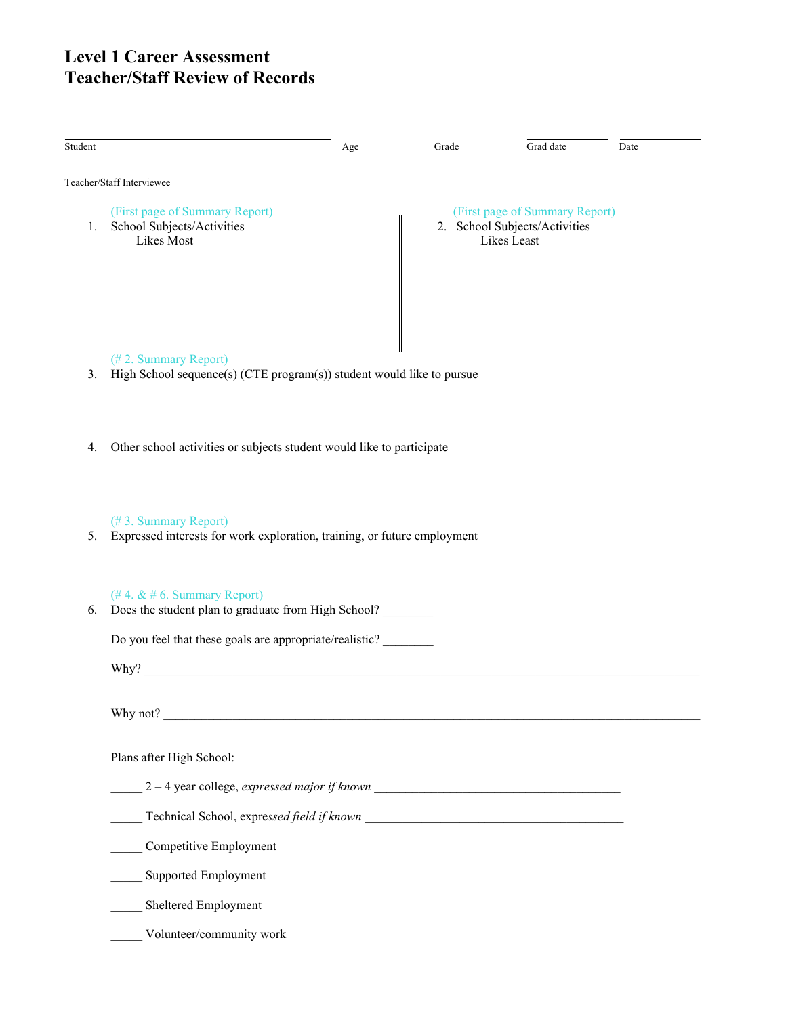# **Level 1 Career Assessment Teacher/Staff Review of Records**

| Student        |                                                                                                  | Age | Grade | Grad date                                                                      | Date |
|----------------|--------------------------------------------------------------------------------------------------|-----|-------|--------------------------------------------------------------------------------|------|
|                | Teacher/Staff Interviewee                                                                        |     |       |                                                                                |      |
| 1.             | (First page of Summary Report)<br>School Subjects/Activities<br>Likes Most                       |     |       | (First page of Summary Report)<br>2. School Subjects/Activities<br>Likes Least |      |
| 3 <sub>1</sub> | (#2. Summary Report)<br>High School sequence(s) (CTE program(s)) student would like to pursue    |     |       |                                                                                |      |
|                |                                                                                                  |     |       |                                                                                |      |
|                |                                                                                                  |     |       |                                                                                |      |
| 4.             | Other school activities or subjects student would like to participate                            |     |       |                                                                                |      |
|                |                                                                                                  |     |       |                                                                                |      |
| 5.             | (#3. Summary Report)<br>Expressed interests for work exploration, training, or future employment |     |       |                                                                                |      |
| 6.             | $($ #4. & #6. Summary Report)<br>Does the student plan to graduate from High School?             |     |       |                                                                                |      |
|                | Do you feel that these goals are appropriate/realistic?                                          |     |       |                                                                                |      |
|                | Why?                                                                                             |     |       |                                                                                |      |
|                | Why not?<br><u> 1989 - Johann John Stone, mars et al. (1989)</u>                                 |     |       |                                                                                |      |
|                | Plans after High School:                                                                         |     |       |                                                                                |      |
|                | $2-4$ year college, expressed major if known $\frac{1}{2}$                                       |     |       |                                                                                |      |
|                |                                                                                                  |     |       |                                                                                |      |
|                | Competitive Employment                                                                           |     |       |                                                                                |      |
|                | Supported Employment                                                                             |     |       |                                                                                |      |
|                | Sheltered Employment                                                                             |     |       |                                                                                |      |
|                | Volunteer/community work                                                                         |     |       |                                                                                |      |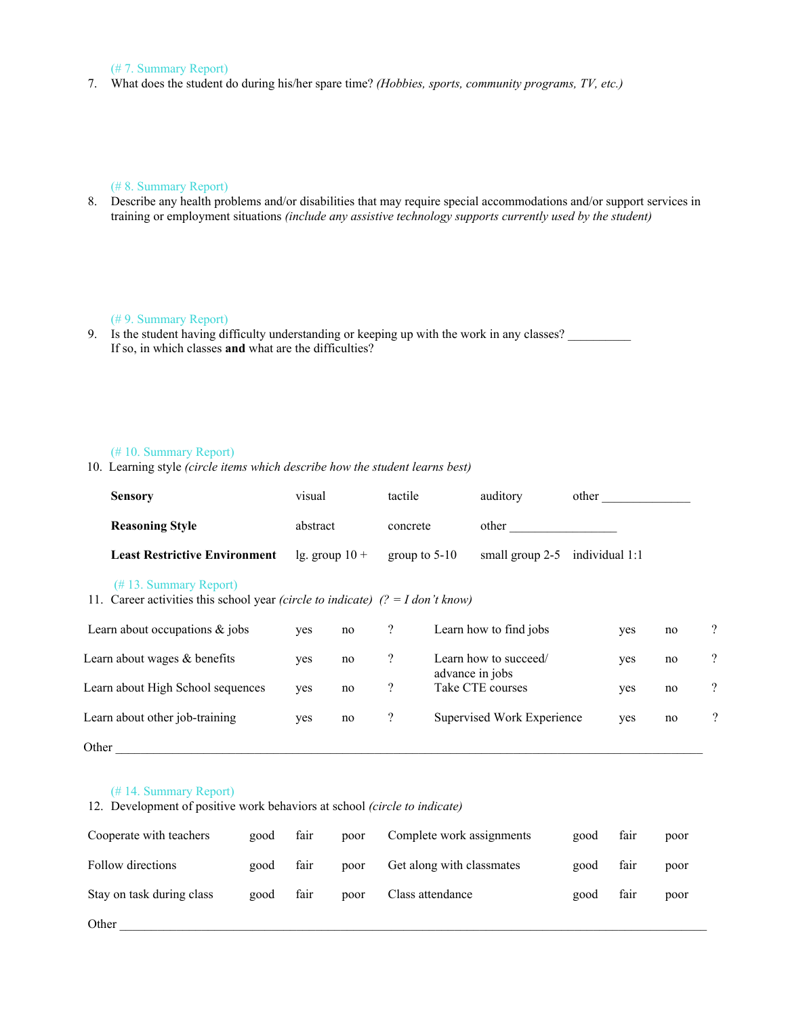### (# 7. Summary Report)

7. What does the student do during his/her spare time? *(Hobbies, sports, community programs, TV, etc.)*

# (# 8. Summary Report)

8. Describe any health problems and/or disabilities that may require special accommodations and/or support services in training or employment situations *(include any assistive technology supports currently used by the student)*

#### (# 9. Summary Report)

9. Is the student having difficulty understanding or keeping up with the work in any classes? If so, in which classes **and** what are the difficulties?

## (# 10. Summary Report)

10. Learning style *(circle items which describe how the student learns best)*

| <b>Sensory</b>                                                                                                               | visual   |                  | tactile                  |                 | auditory                                 | other          |    |                          |
|------------------------------------------------------------------------------------------------------------------------------|----------|------------------|--------------------------|-----------------|------------------------------------------|----------------|----|--------------------------|
| <b>Reasoning Style</b>                                                                                                       | abstract |                  | concrete                 |                 | other                                    |                |    |                          |
| <b>Least Restrictive Environment</b>                                                                                         |          | lg. group $10 +$ |                          | group to $5-10$ | small group 2-5                          | individual 1:1 |    |                          |
| $(\# 13.$ Summary Report)<br>11. Career activities this school year <i>(circle to indicate)</i> $(2 = I \text{ don't know})$ |          |                  |                          |                 |                                          |                |    |                          |
| Learn about occupations $\&$ jobs                                                                                            | yes      | no               | $\overline{?}$           |                 | Learn how to find jobs                   | yes            | no | $\gamma$                 |
| Learn about wages $&$ benefits                                                                                               | yes      | no               | $\overline{\mathcal{E}}$ |                 | Learn how to succeed/<br>advance in jobs | yes            | no | $\overline{\mathcal{L}}$ |
| Learn about High School sequences                                                                                            | yes      | no               | $\overline{?}$           |                 | Take CTE courses                         | yes            | no | $\overline{?}$           |
| Learn about other job-training                                                                                               | yes      | no               | $\overline{?}$           |                 | Supervised Work Experience               | yes            | no | $\overline{?}$           |
| Other                                                                                                                        |          |                  |                          |                 |                                          |                |    |                          |

#### (# 14. Summary Report)

12. Development of positive work behaviors at school *(circle to indicate)*

| Cooperate with teachers   | good | fair | poor | Complete work assignments | good | fair | poor |
|---------------------------|------|------|------|---------------------------|------|------|------|
| Follow directions         | good | fair | poor | Get along with classmates | good | fair | poor |
| Stay on task during class | good | fair | poor | Class attendance          | good | fair | poor |
| Other                     |      |      |      |                           |      |      |      |